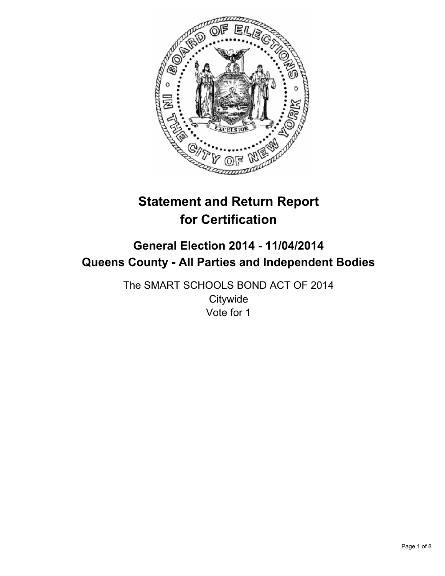

# **Statement and Return Report for Certification**

# **General Election 2014 - 11/04/2014 Queens County - All Parties and Independent Bodies**

The SMART SCHOOLS BOND ACT OF 2014 **Citywide** Vote for 1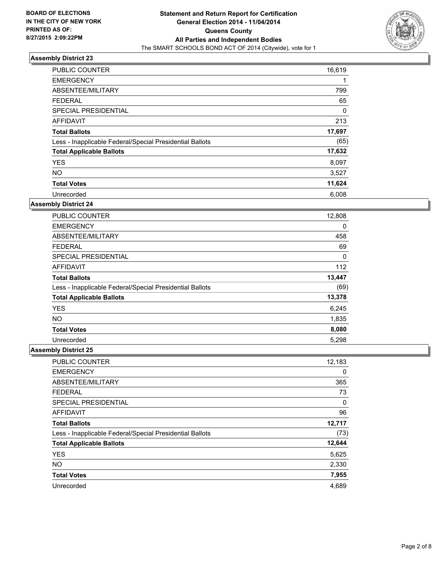

| <b>PUBLIC COUNTER</b>                                    | 16,619 |
|----------------------------------------------------------|--------|
| <b>EMERGENCY</b>                                         | 1      |
| ABSENTEE/MILITARY                                        | 799    |
| <b>FEDERAL</b>                                           | 65     |
| <b>SPECIAL PRESIDENTIAL</b>                              | 0      |
| <b>AFFIDAVIT</b>                                         | 213    |
| <b>Total Ballots</b>                                     | 17,697 |
| Less - Inapplicable Federal/Special Presidential Ballots | (65)   |
| <b>Total Applicable Ballots</b>                          | 17,632 |
| <b>YES</b>                                               | 8,097  |
| <b>NO</b>                                                | 3,527  |
| <b>Total Votes</b>                                       | 11,624 |
| Unrecorded                                               | 6,008  |

### **Assembly District 24**

| <b>PUBLIC COUNTER</b>                                    | 12,808 |
|----------------------------------------------------------|--------|
| <b>EMERGENCY</b>                                         | 0      |
| ABSENTEE/MILITARY                                        | 458    |
| <b>FEDERAL</b>                                           | 69     |
| SPECIAL PRESIDENTIAL                                     | 0      |
| AFFIDAVIT                                                | 112    |
| <b>Total Ballots</b>                                     | 13,447 |
| Less - Inapplicable Federal/Special Presidential Ballots | (69)   |
| <b>Total Applicable Ballots</b>                          | 13,378 |
| <b>YES</b>                                               | 6,245  |
| <b>NO</b>                                                | 1,835  |
| <b>Total Votes</b>                                       | 8,080  |
| Unrecorded                                               | 5,298  |

| PUBLIC COUNTER                                           | 12,183 |
|----------------------------------------------------------|--------|
| <b>EMERGENCY</b>                                         | 0      |
| ABSENTEE/MILITARY                                        | 365    |
| <b>FEDERAL</b>                                           | 73     |
| SPECIAL PRESIDENTIAL                                     | 0      |
| AFFIDAVIT                                                | 96     |
| <b>Total Ballots</b>                                     | 12,717 |
| Less - Inapplicable Federal/Special Presidential Ballots | (73)   |
| <b>Total Applicable Ballots</b>                          | 12,644 |
| <b>YES</b>                                               | 5,625  |
| <b>NO</b>                                                | 2,330  |
| <b>Total Votes</b>                                       | 7,955  |
| Unrecorded                                               | 4,689  |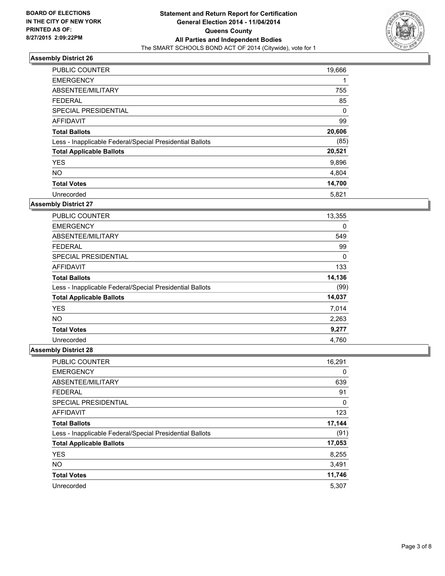

| <b>PUBLIC COUNTER</b>                                    | 19,666 |
|----------------------------------------------------------|--------|
| <b>EMERGENCY</b>                                         | 1      |
| ABSENTEE/MILITARY                                        | 755    |
| <b>FEDERAL</b>                                           | 85     |
| SPECIAL PRESIDENTIAL                                     | 0      |
| AFFIDAVIT                                                | 99     |
| <b>Total Ballots</b>                                     | 20,606 |
| Less - Inapplicable Federal/Special Presidential Ballots | (85)   |
| <b>Total Applicable Ballots</b>                          | 20,521 |
| <b>YES</b>                                               | 9,896  |
| <b>NO</b>                                                | 4,804  |
| <b>Total Votes</b>                                       | 14,700 |
| Unrecorded                                               | 5,821  |

### **Assembly District 27**

| PUBLIC COUNTER                                           | 13,355 |
|----------------------------------------------------------|--------|
| <b>EMERGENCY</b>                                         | 0      |
| ABSENTEE/MILITARY                                        | 549    |
| <b>FEDERAL</b>                                           | 99     |
| <b>SPECIAL PRESIDENTIAL</b>                              | 0      |
| AFFIDAVIT                                                | 133    |
| <b>Total Ballots</b>                                     | 14,136 |
| Less - Inapplicable Federal/Special Presidential Ballots | (99)   |
| <b>Total Applicable Ballots</b>                          | 14,037 |
| <b>YES</b>                                               | 7,014  |
| <b>NO</b>                                                | 2,263  |
| <b>Total Votes</b>                                       | 9,277  |
| Unrecorded                                               | 4.760  |

| PUBLIC COUNTER                                           | 16,291 |
|----------------------------------------------------------|--------|
| <b>EMERGENCY</b>                                         | 0      |
| ABSENTEE/MILITARY                                        | 639    |
| <b>FEDERAL</b>                                           | 91     |
| SPECIAL PRESIDENTIAL                                     | 0      |
| AFFIDAVIT                                                | 123    |
| <b>Total Ballots</b>                                     | 17,144 |
| Less - Inapplicable Federal/Special Presidential Ballots | (91)   |
| <b>Total Applicable Ballots</b>                          | 17,053 |
| <b>YES</b>                                               | 8,255  |
| <b>NO</b>                                                | 3,491  |
| <b>Total Votes</b>                                       | 11,746 |
| Unrecorded                                               | 5,307  |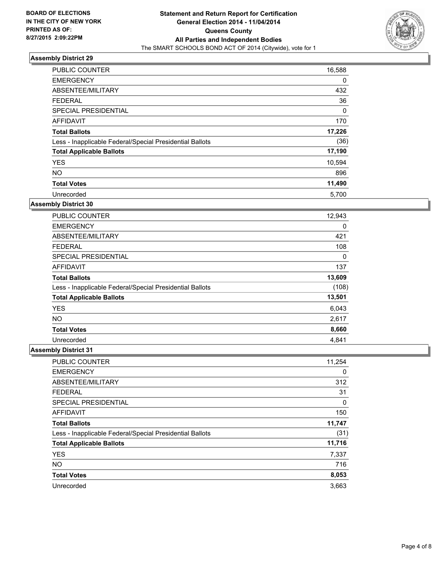

| <b>PUBLIC COUNTER</b>                                    | 16,588 |
|----------------------------------------------------------|--------|
| <b>EMERGENCY</b>                                         | 0      |
| ABSENTEE/MILITARY                                        | 432    |
| <b>FEDERAL</b>                                           | 36     |
| <b>SPECIAL PRESIDENTIAL</b>                              | 0      |
| <b>AFFIDAVIT</b>                                         | 170    |
| <b>Total Ballots</b>                                     | 17,226 |
| Less - Inapplicable Federal/Special Presidential Ballots | (36)   |
| <b>Total Applicable Ballots</b>                          | 17,190 |
| <b>YES</b>                                               | 10,594 |
| <b>NO</b>                                                | 896    |
| <b>Total Votes</b>                                       | 11,490 |
| Unrecorded                                               | 5.700  |

### **Assembly District 30**

| <b>PUBLIC COUNTER</b>                                    | 12,943 |
|----------------------------------------------------------|--------|
| <b>EMERGENCY</b>                                         | 0      |
| ABSENTEE/MILITARY                                        | 421    |
| <b>FEDERAL</b>                                           | 108    |
| SPECIAL PRESIDENTIAL                                     | 0      |
| AFFIDAVIT                                                | 137    |
| <b>Total Ballots</b>                                     | 13,609 |
| Less - Inapplicable Federal/Special Presidential Ballots | (108)  |
| <b>Total Applicable Ballots</b>                          | 13,501 |
| <b>YES</b>                                               | 6,043  |
| NO.                                                      | 2,617  |
| <b>Total Votes</b>                                       | 8,660  |
| Unrecorded                                               | 4.841  |

| PUBLIC COUNTER                                           | 11,254 |
|----------------------------------------------------------|--------|
| <b>EMERGENCY</b>                                         | 0      |
| ABSENTEE/MILITARY                                        | 312    |
| <b>FEDERAL</b>                                           | 31     |
| SPECIAL PRESIDENTIAL                                     | 0      |
| AFFIDAVIT                                                | 150    |
| <b>Total Ballots</b>                                     | 11,747 |
| Less - Inapplicable Federal/Special Presidential Ballots | (31)   |
| <b>Total Applicable Ballots</b>                          | 11,716 |
| <b>YES</b>                                               | 7,337  |
| <b>NO</b>                                                | 716    |
| <b>Total Votes</b>                                       | 8,053  |
| Unrecorded                                               | 3,663  |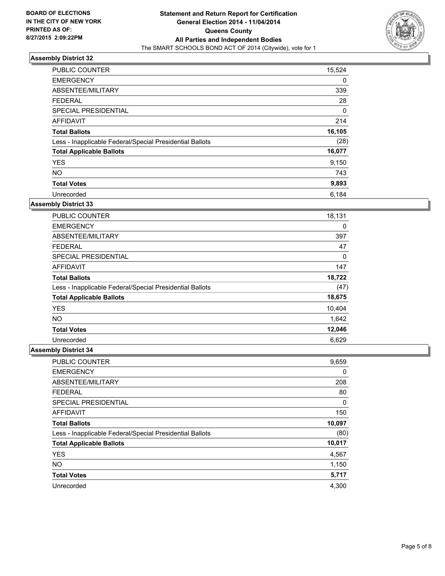

| <b>PUBLIC COUNTER</b>                                    | 15,524 |
|----------------------------------------------------------|--------|
| <b>EMERGENCY</b>                                         | 0      |
| ABSENTEE/MILITARY                                        | 339    |
| <b>FEDERAL</b>                                           | 28     |
| <b>SPECIAL PRESIDENTIAL</b>                              | 0      |
| AFFIDAVIT                                                | 214    |
| <b>Total Ballots</b>                                     | 16,105 |
| Less - Inapplicable Federal/Special Presidential Ballots | (28)   |
| <b>Total Applicable Ballots</b>                          | 16,077 |
| <b>YES</b>                                               | 9,150  |
| <b>NO</b>                                                | 743    |
| <b>Total Votes</b>                                       | 9,893  |
| Unrecorded                                               | 6,184  |

### **Assembly District 33**

| PUBLIC COUNTER                                           | 18,131 |
|----------------------------------------------------------|--------|
| <b>EMERGENCY</b>                                         | 0      |
| ABSENTEE/MILITARY                                        | 397    |
| <b>FEDERAL</b>                                           | 47     |
| <b>SPECIAL PRESIDENTIAL</b>                              | 0      |
| AFFIDAVIT                                                | 147    |
| <b>Total Ballots</b>                                     | 18,722 |
| Less - Inapplicable Federal/Special Presidential Ballots | (47)   |
| <b>Total Applicable Ballots</b>                          | 18,675 |
| <b>YES</b>                                               | 10,404 |
| <b>NO</b>                                                | 1,642  |
| <b>Total Votes</b>                                       | 12,046 |
| Unrecorded                                               | 6,629  |

| PUBLIC COUNTER                                           | 9,659  |
|----------------------------------------------------------|--------|
| <b>EMERGENCY</b>                                         | 0      |
| ABSENTEE/MILITARY                                        | 208    |
| <b>FEDERAL</b>                                           | 80     |
| SPECIAL PRESIDENTIAL                                     | 0      |
| <b>AFFIDAVIT</b>                                         | 150    |
| <b>Total Ballots</b>                                     | 10,097 |
| Less - Inapplicable Federal/Special Presidential Ballots | (80)   |
| <b>Total Applicable Ballots</b>                          | 10,017 |
| <b>YES</b>                                               | 4,567  |
| <b>NO</b>                                                | 1,150  |
| <b>Total Votes</b>                                       | 5,717  |
| Unrecorded                                               | 4.300  |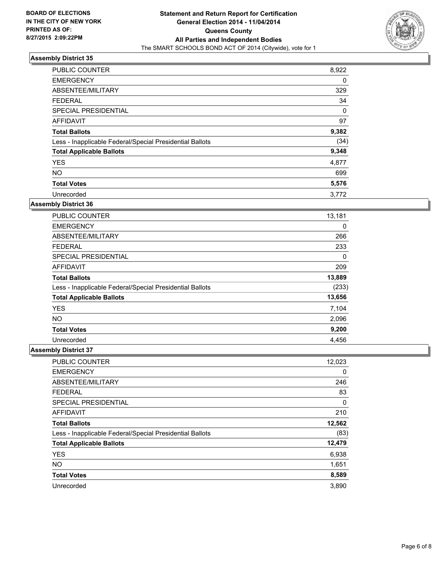

| <b>PUBLIC COUNTER</b>                                    | 8,922 |
|----------------------------------------------------------|-------|
| <b>EMERGENCY</b>                                         | 0     |
| ABSENTEE/MILITARY                                        | 329   |
| <b>FEDERAL</b>                                           | 34    |
| SPECIAL PRESIDENTIAL                                     | 0     |
| <b>AFFIDAVIT</b>                                         | 97    |
| <b>Total Ballots</b>                                     | 9,382 |
| Less - Inapplicable Federal/Special Presidential Ballots | (34)  |
| <b>Total Applicable Ballots</b>                          | 9,348 |
| <b>YES</b>                                               | 4,877 |
| <b>NO</b>                                                | 699   |
| <b>Total Votes</b>                                       | 5,576 |
| Unrecorded                                               | 3,772 |

### **Assembly District 36**

| <b>PUBLIC COUNTER</b>                                    | 13,181 |
|----------------------------------------------------------|--------|
| <b>EMERGENCY</b>                                         | 0      |
| ABSENTEE/MILITARY                                        | 266    |
| <b>FEDERAL</b>                                           | 233    |
| <b>SPECIAL PRESIDENTIAL</b>                              | 0      |
| AFFIDAVIT                                                | 209    |
| <b>Total Ballots</b>                                     | 13,889 |
| Less - Inapplicable Federal/Special Presidential Ballots | (233)  |
| <b>Total Applicable Ballots</b>                          | 13,656 |
| <b>YES</b>                                               | 7,104  |
| NO.                                                      | 2,096  |
| <b>Total Votes</b>                                       | 9,200  |
| Unrecorded                                               | 4,456  |

| PUBLIC COUNTER                                           | 12,023 |
|----------------------------------------------------------|--------|
| <b>EMERGENCY</b>                                         | 0      |
| ABSENTEE/MILITARY                                        | 246    |
| <b>FEDERAL</b>                                           | 83     |
| SPECIAL PRESIDENTIAL                                     | 0      |
| <b>AFFIDAVIT</b>                                         | 210    |
| <b>Total Ballots</b>                                     | 12,562 |
| Less - Inapplicable Federal/Special Presidential Ballots | (83)   |
| <b>Total Applicable Ballots</b>                          | 12,479 |
| <b>YES</b>                                               | 6,938  |
| <b>NO</b>                                                | 1,651  |
| <b>Total Votes</b>                                       | 8,589  |
| Unrecorded                                               | 3,890  |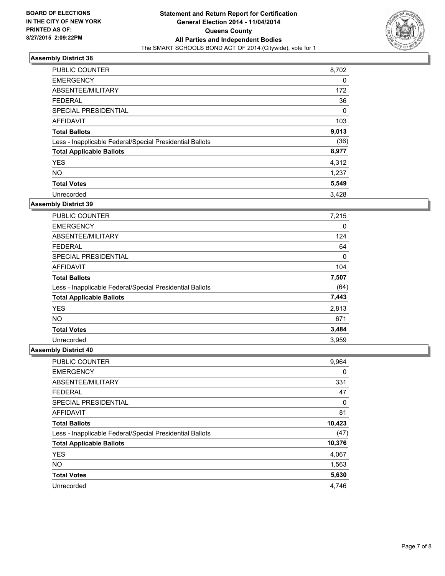

| <b>PUBLIC COUNTER</b>                                    | 8,702 |
|----------------------------------------------------------|-------|
| <b>EMERGENCY</b>                                         | 0     |
| ABSENTEE/MILITARY                                        | 172   |
| <b>FEDERAL</b>                                           | 36    |
| <b>SPECIAL PRESIDENTIAL</b>                              | 0     |
| <b>AFFIDAVIT</b>                                         | 103   |
| <b>Total Ballots</b>                                     | 9,013 |
| Less - Inapplicable Federal/Special Presidential Ballots | (36)  |
| <b>Total Applicable Ballots</b>                          | 8,977 |
| <b>YES</b>                                               | 4,312 |
| <b>NO</b>                                                | 1,237 |
| <b>Total Votes</b>                                       | 5,549 |
| Unrecorded                                               | 3.428 |

### **Assembly District 39**

| <b>PUBLIC COUNTER</b>                                    | 7,215 |
|----------------------------------------------------------|-------|
| <b>EMERGENCY</b>                                         | 0     |
| ABSENTEE/MILITARY                                        | 124   |
| <b>FEDERAL</b>                                           | 64    |
| SPECIAL PRESIDENTIAL                                     | 0     |
| <b>AFFIDAVIT</b>                                         | 104   |
| <b>Total Ballots</b>                                     | 7,507 |
| Less - Inapplicable Federal/Special Presidential Ballots | (64)  |
| <b>Total Applicable Ballots</b>                          | 7,443 |
| <b>YES</b>                                               | 2,813 |
| NO.                                                      | 671   |
| <b>Total Votes</b>                                       | 3,484 |
| Unrecorded                                               | 3,959 |

| <b>PUBLIC COUNTER</b>                                    | 9,964  |
|----------------------------------------------------------|--------|
| <b>EMERGENCY</b>                                         | 0      |
| ABSENTEE/MILITARY                                        | 331    |
| <b>FEDERAL</b>                                           | 47     |
| SPECIAL PRESIDENTIAL                                     | 0      |
| <b>AFFIDAVIT</b>                                         | 81     |
| <b>Total Ballots</b>                                     | 10,423 |
| Less - Inapplicable Federal/Special Presidential Ballots | (47)   |
| <b>Total Applicable Ballots</b>                          | 10,376 |
| <b>YES</b>                                               | 4,067  |
| <b>NO</b>                                                | 1,563  |
| <b>Total Votes</b>                                       | 5,630  |
| Unrecorded                                               | 4.746  |